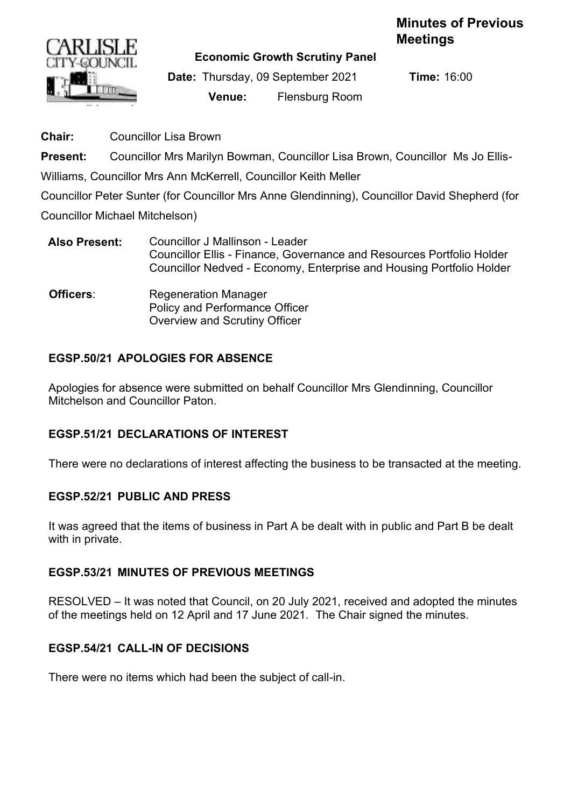# **Minutes of Previous Meetings**



**Economic Growth Scrutiny Panel**

**Date:** Thursday, 09 September 2021 **Time:** 16:00 **Venue:** Flensburg Room

**Chair:** Councillor Lisa Brown

**Present:** Councillor Mrs Marilyn Bowman, Councillor Lisa Brown, Councillor Ms Jo Ellis-

Williams, Councillor Mrs Ann McKerrell, Councillor Keith Meller

Councillor Peter Sunter (for Councillor Mrs Anne Glendinning), Councillor David Shepherd (for

Councillor Michael Mitchelson)

- **Also Present:** Councillor J Mallinson Leader Councillor Ellis - Finance, Governance and Resources Portfolio Holder Councillor Nedved - Economy, Enterprise and Housing Portfolio Holder
- **Officers:** Regeneration Manager Policy and Performance Officer Overview and Scrutiny Officer

### **EGSP.50/21 APOLOGIES FOR ABSENCE**

Apologies for absence were submitted on behalf Councillor Mrs Glendinning, Councillor Mitchelson and Councillor Paton.

#### **EGSP.51/21 DECLARATIONS OF INTEREST**

There were no declarations of interest affecting the business to be transacted at the meeting.

#### **EGSP.52/21 PUBLIC AND PRESS**

It was agreed that the items of business in Part A be dealt with in public and Part B be dealt with in private.

#### **EGSP.53/21 MINUTES OF PREVIOUS MEETINGS**

RESOLVED – It was noted that Council, on 20 July 2021, received and adopted the minutes of the meetings held on 12 April and 17 June 2021. The Chair signed the minutes.

#### **EGSP.54/21 CALL-IN OF DECISIONS**

There were no items which had been the subject of call-in.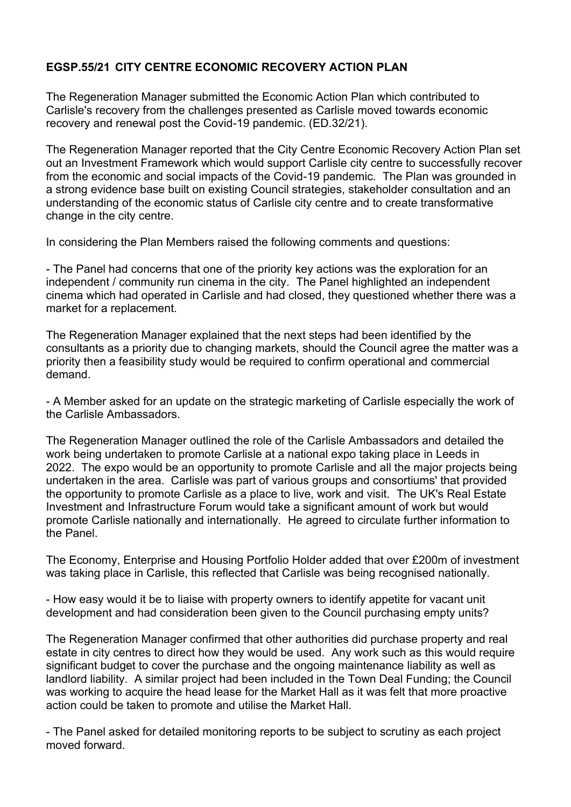## **EGSP.55/21 CITY CENTRE ECONOMIC RECOVERY ACTION PLAN**

The Regeneration Manager submitted the Economic Action Plan which contributed to Carlisle's recovery from the challenges presented as Carlisle moved towards economic recovery and renewal post the Covid-19 pandemic. (ED.32/21).

The Regeneration Manager reported that the City Centre Economic Recovery Action Plan set out an Investment Framework which would support Carlisle city centre to successfully recover from the economic and social impacts of the Covid-19 pandemic. The Plan was grounded in a strong evidence base built on existing Council strategies, stakeholder consultation and an understanding of the economic status of Carlisle city centre and to create transformative change in the city centre.

In considering the Plan Members raised the following comments and questions:

- The Panel had concerns that one of the priority key actions was the exploration for an independent / community run cinema in the city. The Panel highlighted an independent cinema which had operated in Carlisle and had closed, they questioned whether there was a market for a replacement.

The Regeneration Manager explained that the next steps had been identified by the consultants as a priority due to changing markets, should the Council agree the matter was a priority then a feasibility study would be required to confirm operational and commercial demand.

- A Member asked for an update on the strategic marketing of Carlisle especially the work of the Carlisle Ambassadors.

The Regeneration Manager outlined the role of the Carlisle Ambassadors and detailed the work being undertaken to promote Carlisle at a national expo taking place in Leeds in 2022. The expo would be an opportunity to promote Carlisle and all the major projects being undertaken in the area. Carlisle was part of various groups and consortiums' that provided the opportunity to promote Carlisle as a place to live, work and visit. The UK's Real Estate Investment and Infrastructure Forum would take a significant amount of work but would promote Carlisle nationally and internationally. He agreed to circulate further information to the Panel.

The Economy, Enterprise and Housing Portfolio Holder added that over £200m of investment was taking place in Carlisle, this reflected that Carlisle was being recognised nationally.

- How easy would it be to liaise with property owners to identify appetite for vacant unit development and had consideration been given to the Council purchasing empty units?

The Regeneration Manager confirmed that other authorities did purchase property and real estate in city centres to direct how they would be used. Any work such as this would require significant budget to cover the purchase and the ongoing maintenance liability as well as landlord liability. A similar project had been included in the Town Deal Funding; the Council was working to acquire the head lease for the Market Hall as it was felt that more proactive action could be taken to promote and utilise the Market Hall.

- The Panel asked for detailed monitoring reports to be subject to scrutiny as each project moved forward.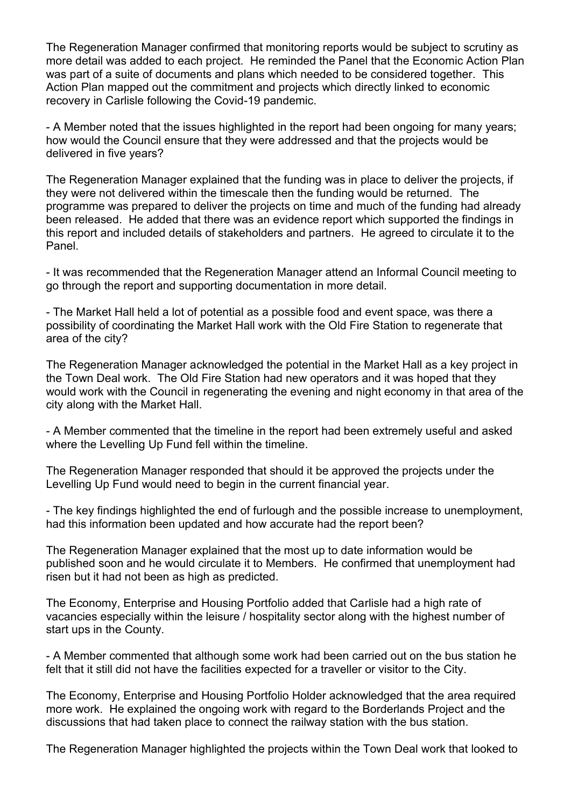The Regeneration Manager confirmed that monitoring reports would be subject to scrutiny as more detail was added to each project. He reminded the Panel that the Economic Action Plan was part of a suite of documents and plans which needed to be considered together. This Action Plan mapped out the commitment and projects which directly linked to economic recovery in Carlisle following the Covid-19 pandemic.

- A Member noted that the issues highlighted in the report had been ongoing for many years; how would the Council ensure that they were addressed and that the projects would be delivered in five years?

The Regeneration Manager explained that the funding was in place to deliver the projects, if they were not delivered within the timescale then the funding would be returned. The programme was prepared to deliver the projects on time and much of the funding had already been released. He added that there was an evidence report which supported the findings in this report and included details of stakeholders and partners. He agreed to circulate it to the Panel.

- It was recommended that the Regeneration Manager attend an Informal Council meeting to go through the report and supporting documentation in more detail.

- The Market Hall held a lot of potential as a possible food and event space, was there a possibility of coordinating the Market Hall work with the Old Fire Station to regenerate that area of the city?

The Regeneration Manager acknowledged the potential in the Market Hall as a key project in the Town Deal work. The Old Fire Station had new operators and it was hoped that they would work with the Council in regenerating the evening and night economy in that area of the city along with the Market Hall.

- A Member commented that the timeline in the report had been extremely useful and asked where the Levelling Up Fund fell within the timeline.

The Regeneration Manager responded that should it be approved the projects under the Levelling Up Fund would need to begin in the current financial year.

- The key findings highlighted the end of furlough and the possible increase to unemployment, had this information been updated and how accurate had the report been?

The Regeneration Manager explained that the most up to date information would be published soon and he would circulate it to Members. He confirmed that unemployment had risen but it had not been as high as predicted.

The Economy, Enterprise and Housing Portfolio added that Carlisle had a high rate of vacancies especially within the leisure / hospitality sector along with the highest number of start ups in the County.

- A Member commented that although some work had been carried out on the bus station he felt that it still did not have the facilities expected for a traveller or visitor to the City.

The Economy, Enterprise and Housing Portfolio Holder acknowledged that the area required more work. He explained the ongoing work with regard to the Borderlands Project and the discussions that had taken place to connect the railway station with the bus station.

The Regeneration Manager highlighted the projects within the Town Deal work that looked to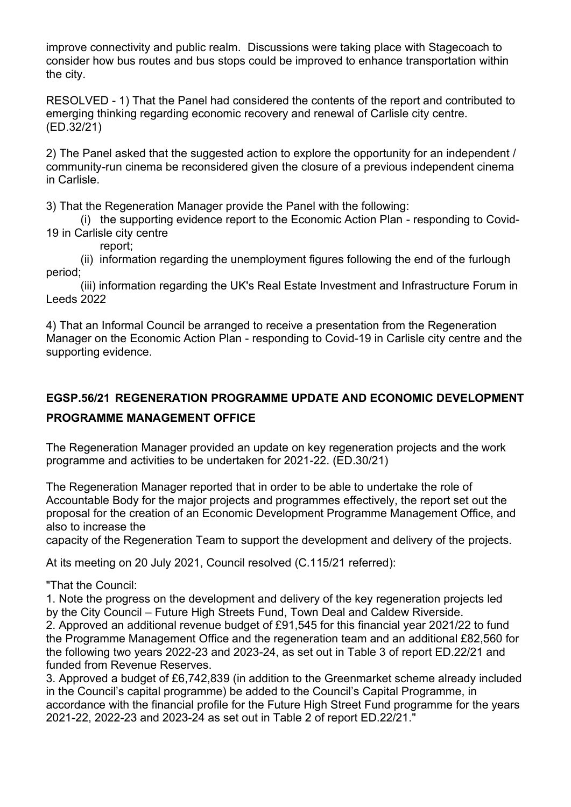improve connectivity and public realm. Discussions were taking place with Stagecoach to consider how bus routes and bus stops could be improved to enhance transportation within the city.

RESOLVED - 1) That the Panel had considered the contents of the report and contributed to emerging thinking regarding economic recovery and renewal of Carlisle city centre. (ED.32/21)

2) The Panel asked that the suggested action to explore the opportunity for an independent / community-run cinema be reconsidered given the closure of a previous independent cinema in Carlisle.

3) That the Regeneration Manager provide the Panel with the following:

 (i) the supporting evidence report to the Economic Action Plan - responding to Covid-19 in Carlisle city centre

report;

 (ii) information regarding the unemployment figures following the end of the furlough period;

 (iii) information regarding the UK's Real Estate Investment and Infrastructure Forum in Leeds 2022

4) That an Informal Council be arranged to receive a presentation from the Regeneration Manager on the Economic Action Plan - responding to Covid-19 in Carlisle city centre and the supporting evidence.

# **EGSP.56/21 REGENERATION PROGRAMME UPDATE AND ECONOMIC DEVELOPMENT PROGRAMME MANAGEMENT OFFICE**

The Regeneration Manager provided an update on key regeneration projects and the work programme and activities to be undertaken for 2021-22. (ED.30/21)

The Regeneration Manager reported that in order to be able to undertake the role of Accountable Body for the major projects and programmes effectively, the report set out the proposal for the creation of an Economic Development Programme Management Office, and also to increase the

capacity of the Regeneration Team to support the development and delivery of the projects.

At its meeting on 20 July 2021, Council resolved (C.115/21 referred):

"That the Council:

1. Note the progress on the development and delivery of the key regeneration projects led by the City Council – Future High Streets Fund, Town Deal and Caldew Riverside.

2. Approved an additional revenue budget of £91,545 for this financial year 2021/22 to fund the Programme Management Office and the regeneration team and an additional £82,560 for the following two years 2022-23 and 2023-24, as set out in Table 3 of report ED.22/21 and funded from Revenue Reserves.

3. Approved a budget of £6,742,839 (in addition to the Greenmarket scheme already included in the Council's capital programme) be added to the Council's Capital Programme, in accordance with the financial profile for the Future High Street Fund programme for the years 2021-22, 2022-23 and 2023-24 as set out in Table 2 of report ED.22/21."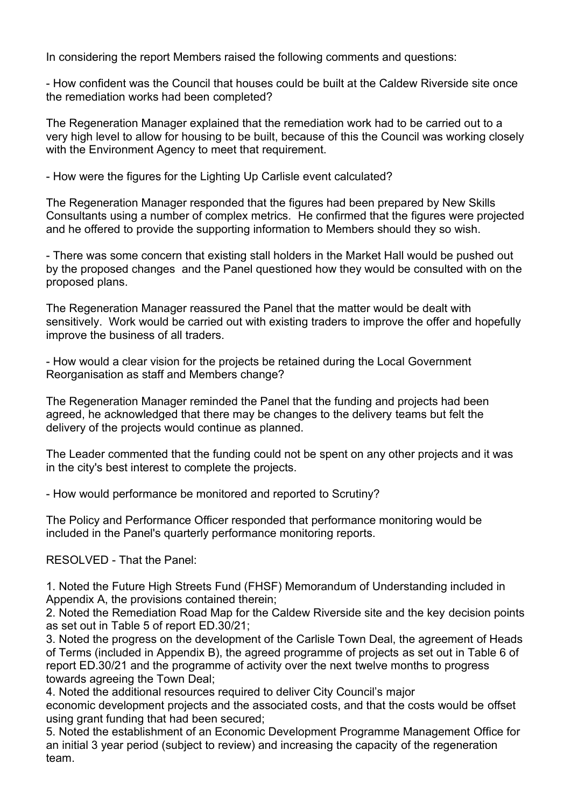In considering the report Members raised the following comments and questions:

- How confident was the Council that houses could be built at the Caldew Riverside site once the remediation works had been completed?

The Regeneration Manager explained that the remediation work had to be carried out to a very high level to allow for housing to be built, because of this the Council was working closely with the Environment Agency to meet that requirement.

- How were the figures for the Lighting Up Carlisle event calculated?

The Regeneration Manager responded that the figures had been prepared by New Skills Consultants using a number of complex metrics. He confirmed that the figures were projected and he offered to provide the supporting information to Members should they so wish.

- There was some concern that existing stall holders in the Market Hall would be pushed out by the proposed changes and the Panel questioned how they would be consulted with on the proposed plans.

The Regeneration Manager reassured the Panel that the matter would be dealt with sensitively. Work would be carried out with existing traders to improve the offer and hopefully improve the business of all traders.

- How would a clear vision for the projects be retained during the Local Government Reorganisation as staff and Members change?

The Regeneration Manager reminded the Panel that the funding and projects had been agreed, he acknowledged that there may be changes to the delivery teams but felt the delivery of the projects would continue as planned.

The Leader commented that the funding could not be spent on any other projects and it was in the city's best interest to complete the projects.

- How would performance be monitored and reported to Scrutiny?

The Policy and Performance Officer responded that performance monitoring would be included in the Panel's quarterly performance monitoring reports.

RESOLVED - That the Panel:

1. Noted the Future High Streets Fund (FHSF) Memorandum of Understanding included in Appendix A, the provisions contained therein;

2. Noted the Remediation Road Map for the Caldew Riverside site and the key decision points as set out in Table 5 of report ED.30/21;

3. Noted the progress on the development of the Carlisle Town Deal, the agreement of Heads of Terms (included in Appendix B), the agreed programme of projects as set out in Table 6 of report ED.30/21 and the programme of activity over the next twelve months to progress towards agreeing the Town Deal;

4. Noted the additional resources required to deliver City Council's major economic development projects and the associated costs, and that the costs would be offset using grant funding that had been secured;

5. Noted the establishment of an Economic Development Programme Management Office for an initial 3 year period (subject to review) and increasing the capacity of the regeneration team.